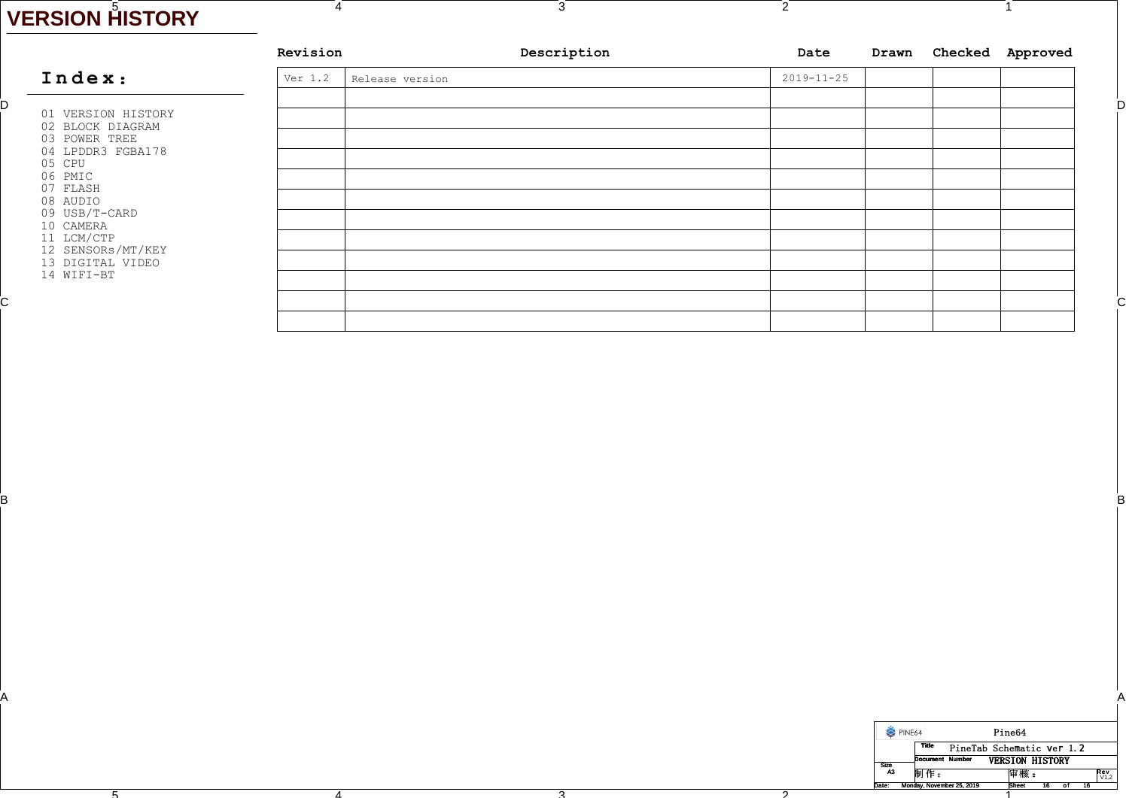## 5 **VERSION HISTORY**

B

A

4

4

 $\overline{F}$ 

| Date             | Drawn | Checked Approved |
|------------------|-------|------------------|
| $2019 - 11 - 25$ |       |                  |
|                  |       |                  |
|                  |       |                  |
|                  |       |                  |
|                  |       |                  |
|                  |       |                  |
|                  |       |                  |
|                  |       |                  |
|                  |       |                  |
|                  |       |                  |
|                  |       |                  |
|                  |       |                  |
|                  |       |                  |
|                  |       |                  |
|                  |       |                  |
|                  |       |                  |

3

2

 $\overline{2}$ 

| PINE64         |                           | Pine64                    |            |
|----------------|---------------------------|---------------------------|------------|
|                | <b>Title</b>              | PineTab Schematic ver 1.2 |            |
| <b>Size</b>    | Document Number           | <b>VERSION HISTORY</b>    |            |
| A <sub>3</sub> | 制作:                       | 审核:                       | <b>Rev</b> |
| Date:          | Monday, November 25, 2019 | Sheet                     |            |

1

1

A

Between the contract of the contract of the contract of the contract of the contract of the contract of the contract of the contract of the contract of the contract of the contract of the contract of the contract of the co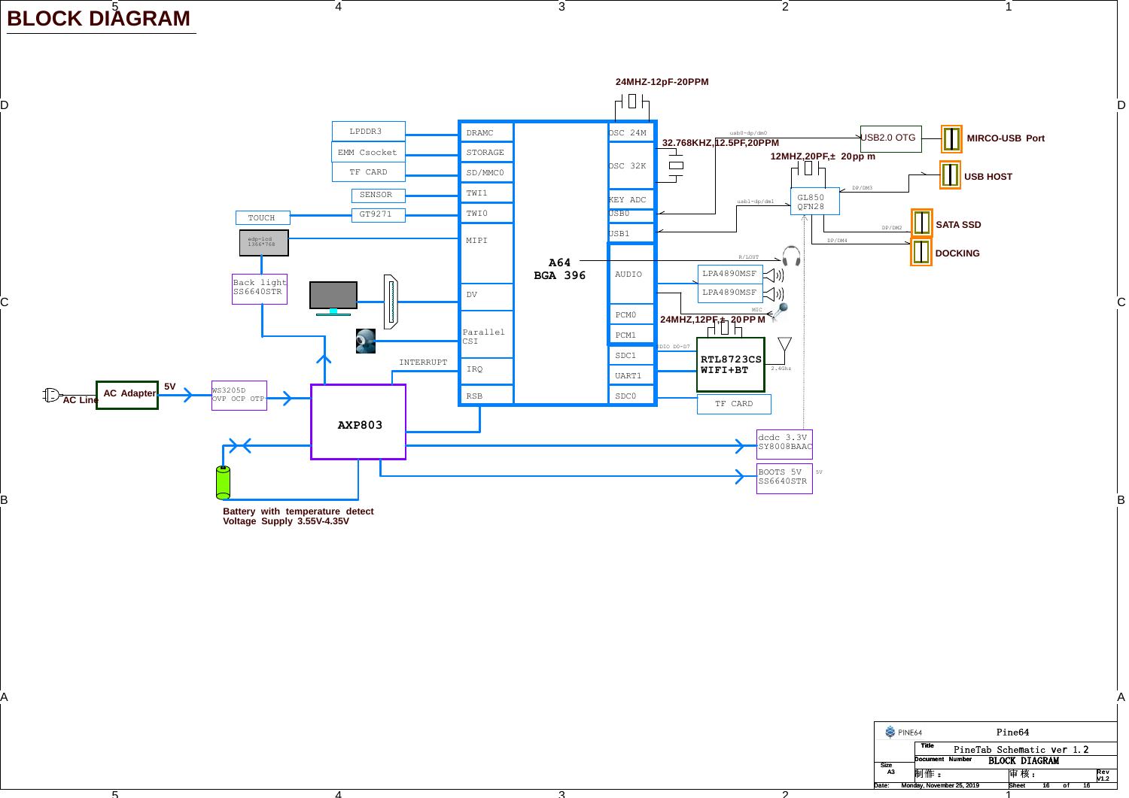BLOCK DIÅGRAM

4

4

 $\overline{\mathbf{5}}$ 



3

2

 $\overline{2}$ 

| PINE64      |                 |                           | Pine64               |    |    |             |
|-------------|-----------------|---------------------------|----------------------|----|----|-------------|
|             | <b>Title</b>    | PineTab Schematic ver 1.2 |                      |    |    |             |
| <b>Size</b> | Document Number |                           | <b>BLOCK DIAGRAM</b> |    |    |             |
| А3          | 制作:             |                           | 审 核 :                |    |    | Rev<br>V1.2 |
| Date:       |                 | Monday, November 25, 2019 | <b>Sheet</b>         | 16 | 16 |             |

1

ີລັ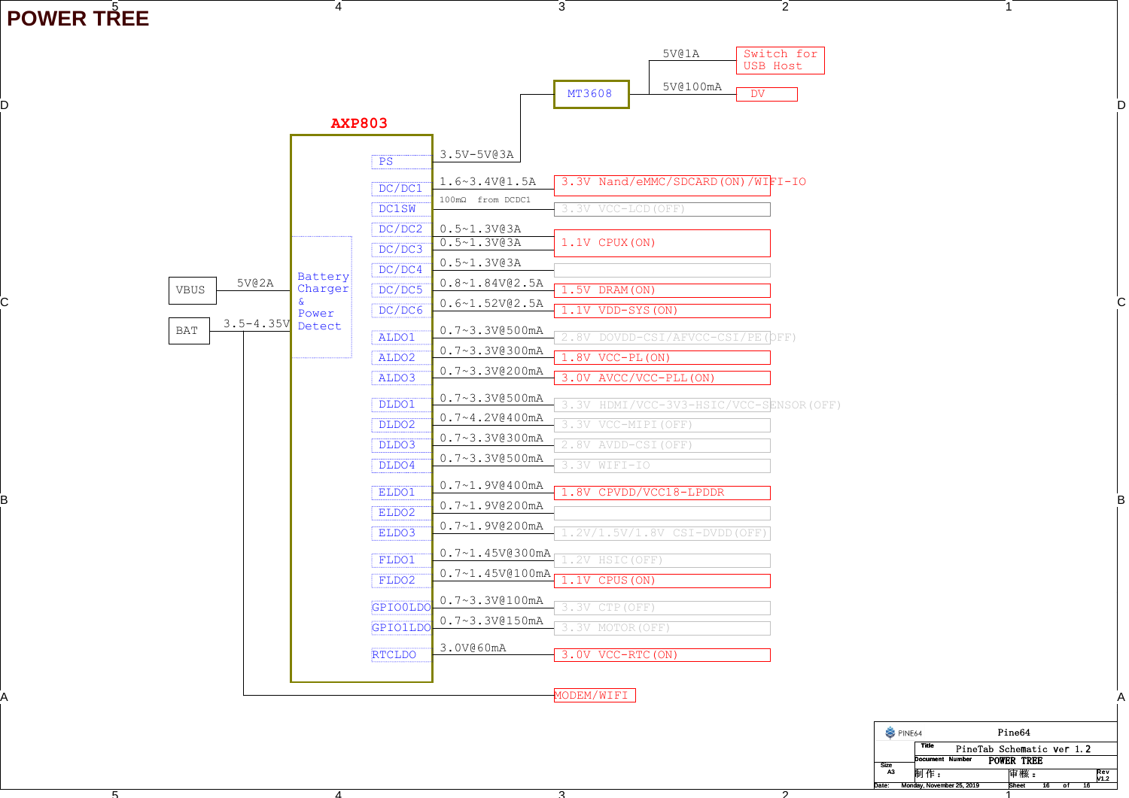POWER TR<sup>É</sup>EE

 $\overline{\mathbf{r}}$ 

|                                                       | <b>AXP803</b>                                                                                                                                                                                                                | 5V@1A<br>Switch for<br>USB Host<br>5V@100mA<br>MT3608<br>$\overline{DV}$                                                                                                                                                                                                                                                                                                                                                                |
|-------------------------------------------------------|------------------------------------------------------------------------------------------------------------------------------------------------------------------------------------------------------------------------------|-----------------------------------------------------------------------------------------------------------------------------------------------------------------------------------------------------------------------------------------------------------------------------------------------------------------------------------------------------------------------------------------------------------------------------------------|
| 5V@2A<br><b>VBUS</b><br>$3.5 - 4.35V$<br>$_{\rm BAT}$ | 3.5V-5V@3A<br>PS<br>DC/DC1<br><b>DC1SW</b><br>DC/DC2<br>$0.5 - 1.3V03A$<br>$0.5 - 1.3V@3A$<br>DC/DC3<br>$0.5 - 1.3V03A$<br>DC/DC4<br>Battery<br>Charger<br>DC/DC5<br>DC/DC6<br>Power<br>Detect<br>ALDO1<br>ALDO <sub>2</sub> | 3.3V Nand/eMMC/SDCARD (ON) /WIFI-IO<br>1.6~3.4V@1.5A<br>100mΩ from DCDC1<br>3.3V VCC-LCD (OFF)<br>1.1V CPUX (ON)<br>$0.8 - 1.84V@2.5A$<br>1.5V DRAM (ON)<br>$0.6 - 1.52V@2.5A$<br>1.1V VDD-SYS (ON)<br>$0.7 - 3.3V@500mA$<br>2.8V DOVDD-CSI/AFVCC-CSI/PE (OFF)<br>0.7~3.3V@300mA<br>1.8V VCC-PL (ON)<br>$0.7 - 3.3V@200mA$                                                                                                              |
|                                                       | ALDO3<br>DLDO1<br>DLDO2<br>DLDO3<br>DLDO4<br>ELDO1<br>ELDO2<br>ELDO3<br>FLDO1<br>FLDO2                                                                                                                                       | 3.0V AVCC/VCC-PLL (ON)<br>$0.7 - 3.3V@500mA$<br>HDMI/VCC-3V3-HSIC/VCC-SENSOR (OFF)<br>3.3V<br>$0.7 - 4.2V0400mA$<br>.3V VCC-MIPI (OFF)<br>$0.7 - 3.3V@300mA$<br>.8V AVDD-CSI (OFF)<br>$0.7 - 3.3V@500mA$<br>3.3V WIFI-IO<br>$0.7 - 1.9V0400mA$<br>1.8V CPVDD/VCC18-LPDDR<br>$0.7 - 1.9V@200mA$<br>$0.7 - 1.9V@200mA$<br>$.2V/1.5V/1.8V$ CSI-DVDD (OFF)<br>$0.7 - 1.45V@300mA$<br>2V HSIC (OFF)<br>$0.7 - 1.45V@100mA$<br>1.1V CPUS (ON) |
|                                                       | GPIO0LD<br><b>GPIO1LD</b><br>3.0V@60mA<br><b>RTCLDO</b>                                                                                                                                                                      | $0.7 - 3.3V@100mA$<br>3.3V CTP (OFF)<br>$0.7 - 3.3V@150mA$<br>3.3V MOTOR (OFF)<br>3.0V VCC-RTC (ON)<br>MODEM/WIFI                                                                                                                                                                                                                                                                                                                       |

3

2

 $\overline{2}$ 

4

4

PINE64 Pine64 PineTab Schematic ver 1.2**Title Document Number** POWER TREE Size A3 制作: 制 作 :审核 : Rev V1.2 Sheet 16 of Date: Monday, November 25, 2019 16 Rheet 16 of 16

1

1

 $\overline{2}$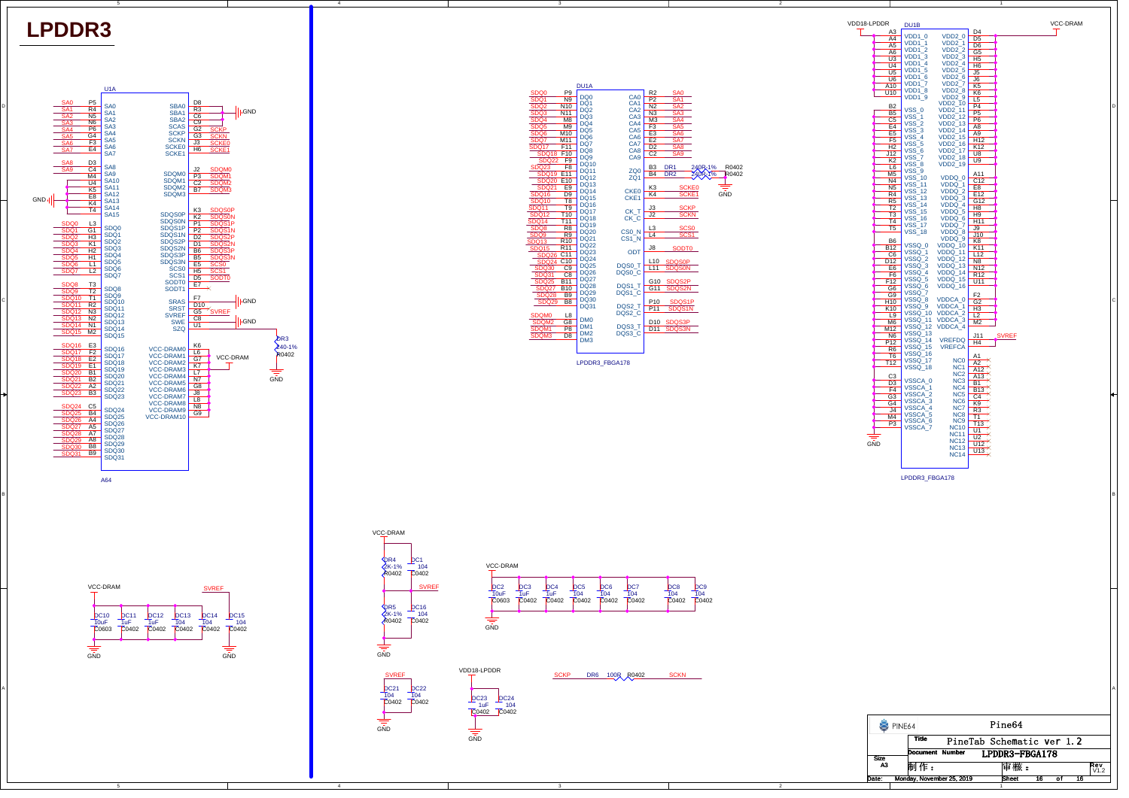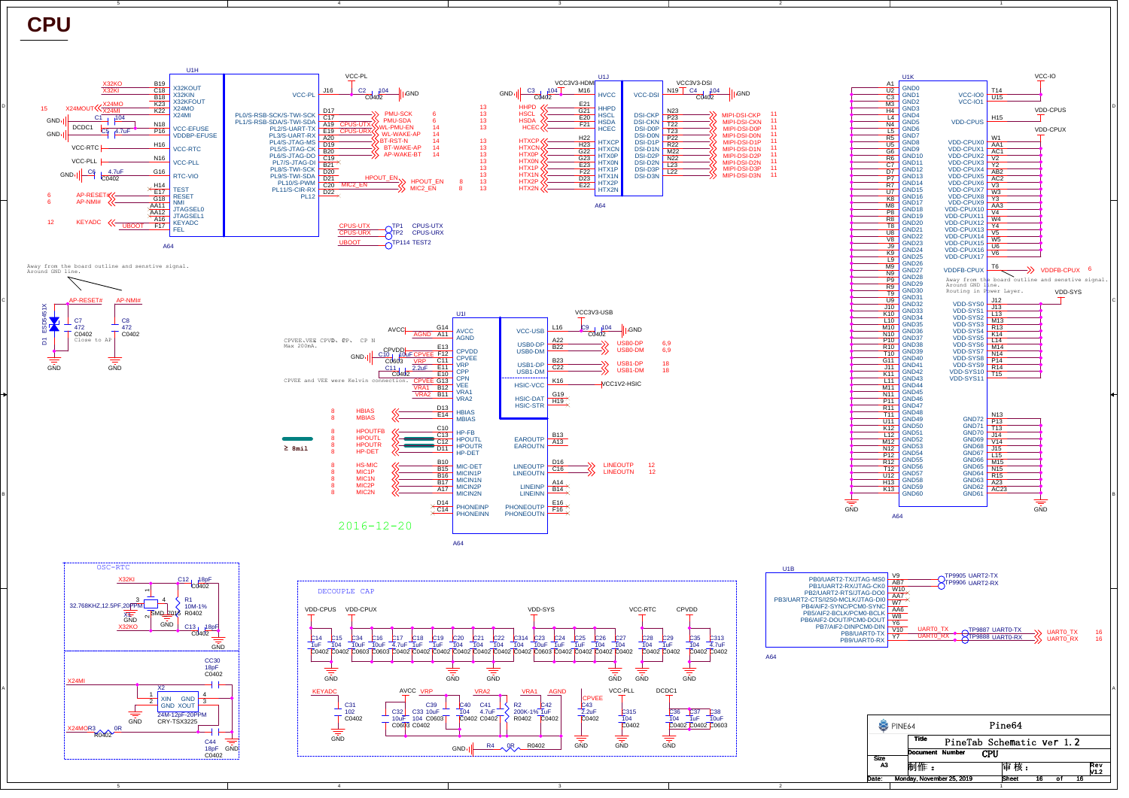**CPU**

C

B

A

X24MO

GND

 $0R$ R0402

GND

C44 18pF C0402

24M-12pF-20PPM CRY-TSX3225



GND

C40<br>104

C41 4.7uFC0402 C0402 R2 <mark>C42</mark><br>200K-1% 1uF **F**oto:

R0402

 $R4$   $0R$   $R0402$ 

**GND** 

C315<br>104 C0402

GND

C43<br>2.2uF  $C<sub>0402</sub>$ 

**GND** 

4

GND

C31<br>102  $C<sub>0402</sub>$ 

C32<br>10uF C0603 C0402

C39 10uF C33 C0603 104

 $\perp$ 



Rev V1.2



2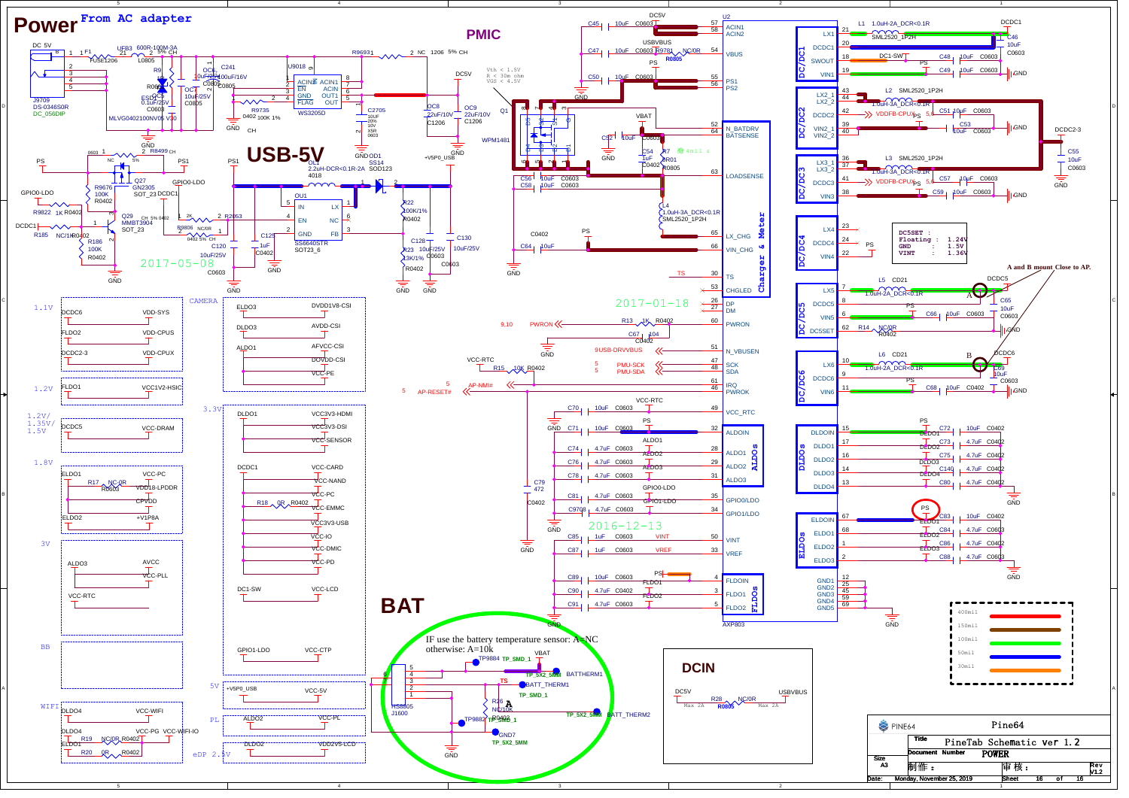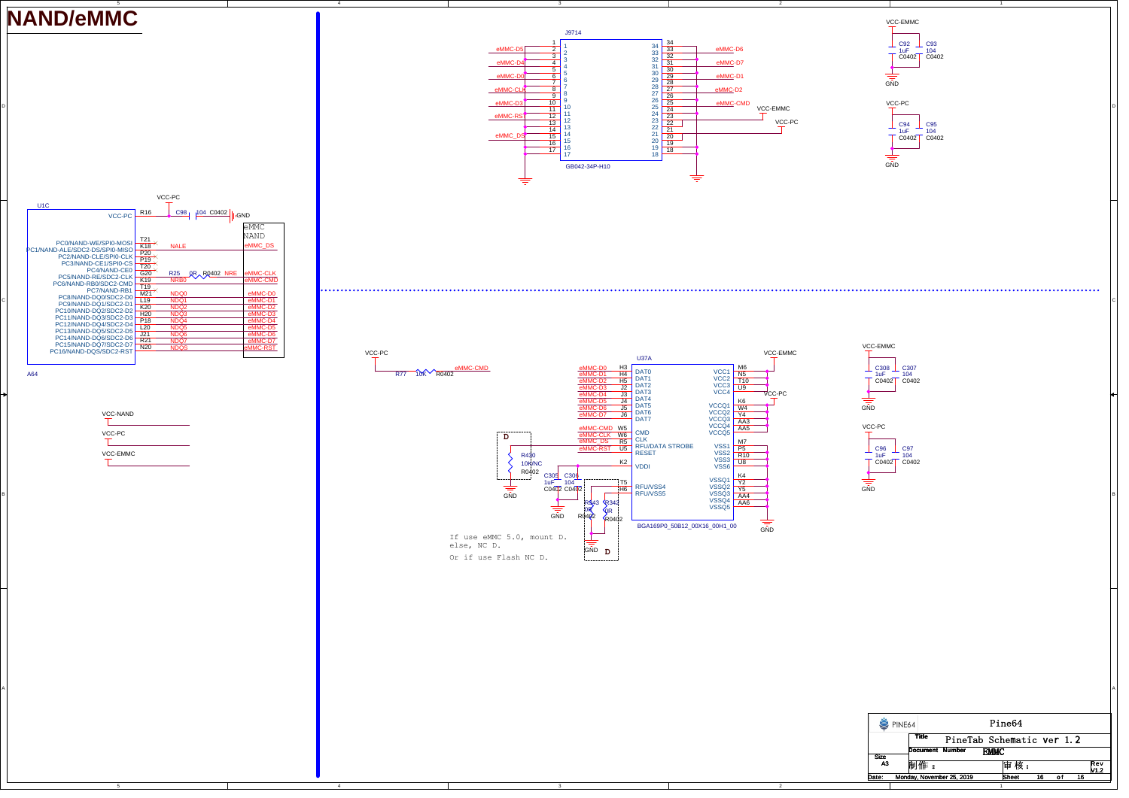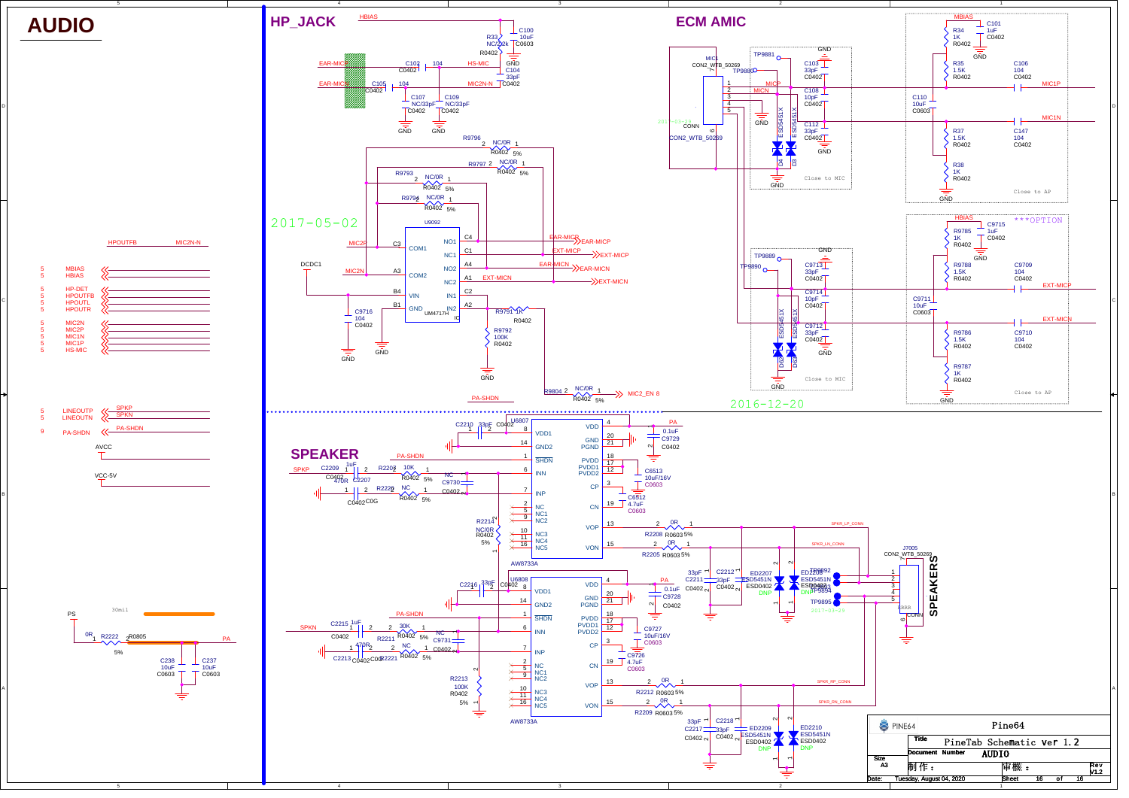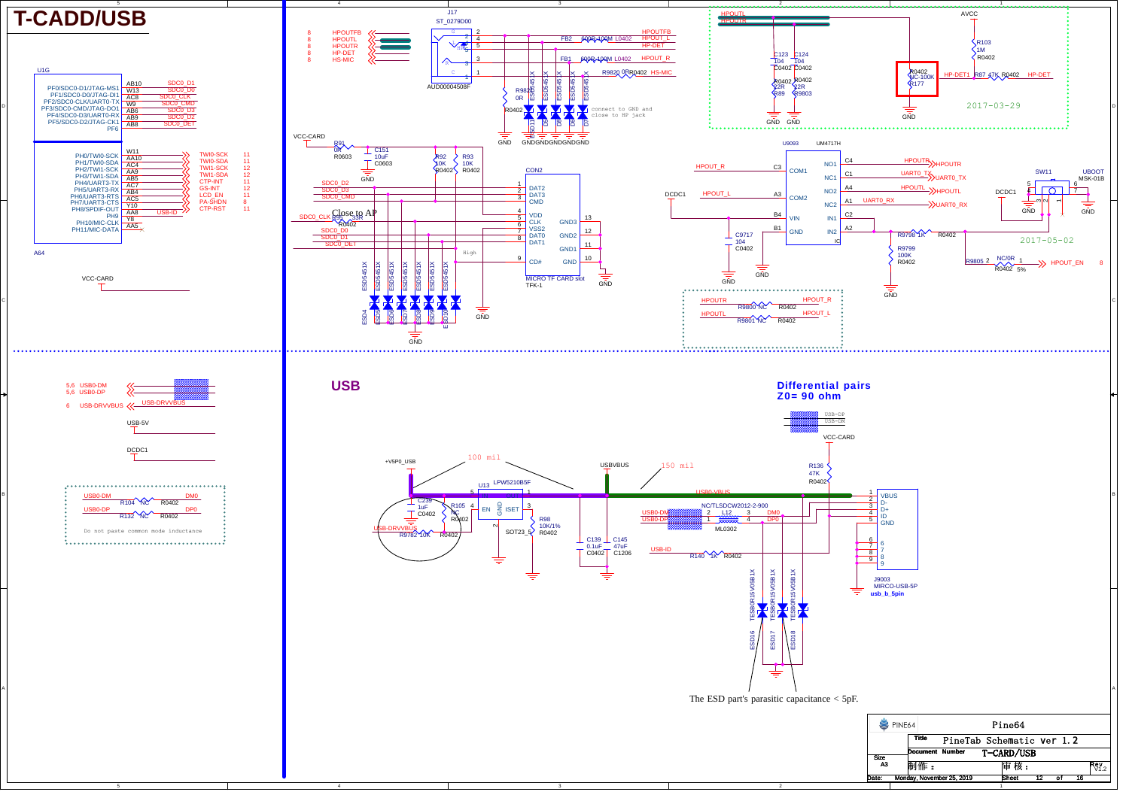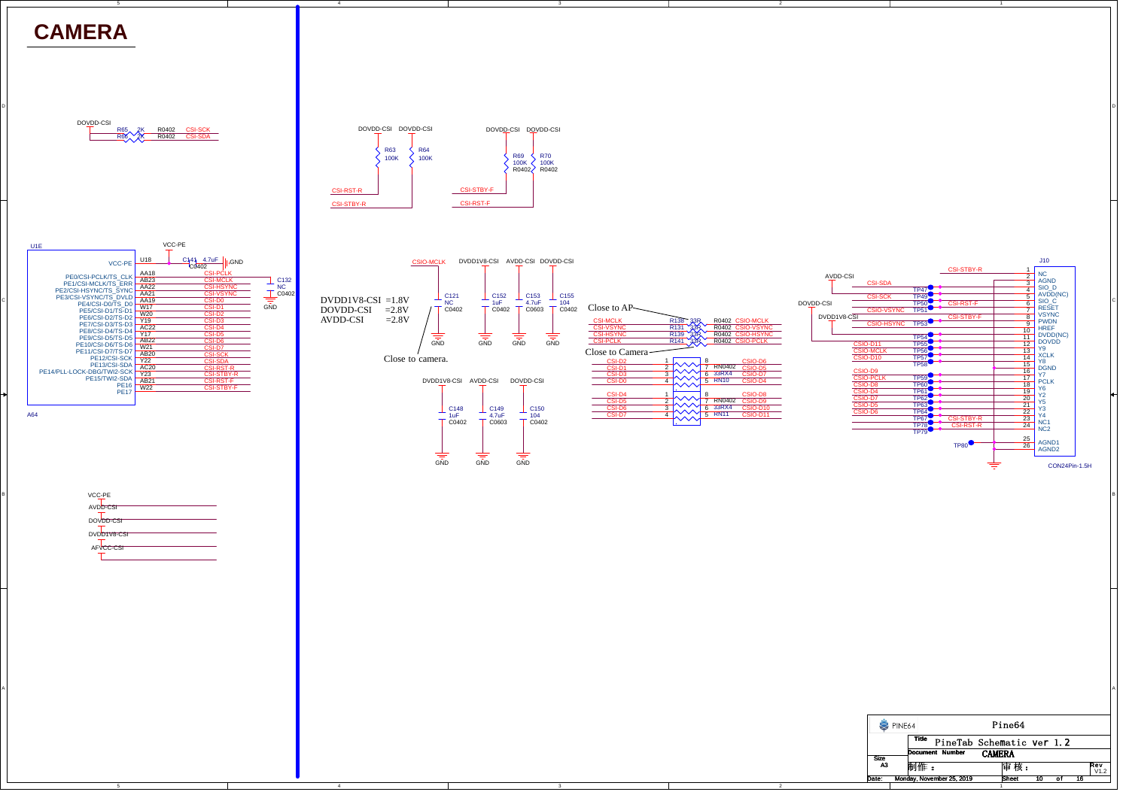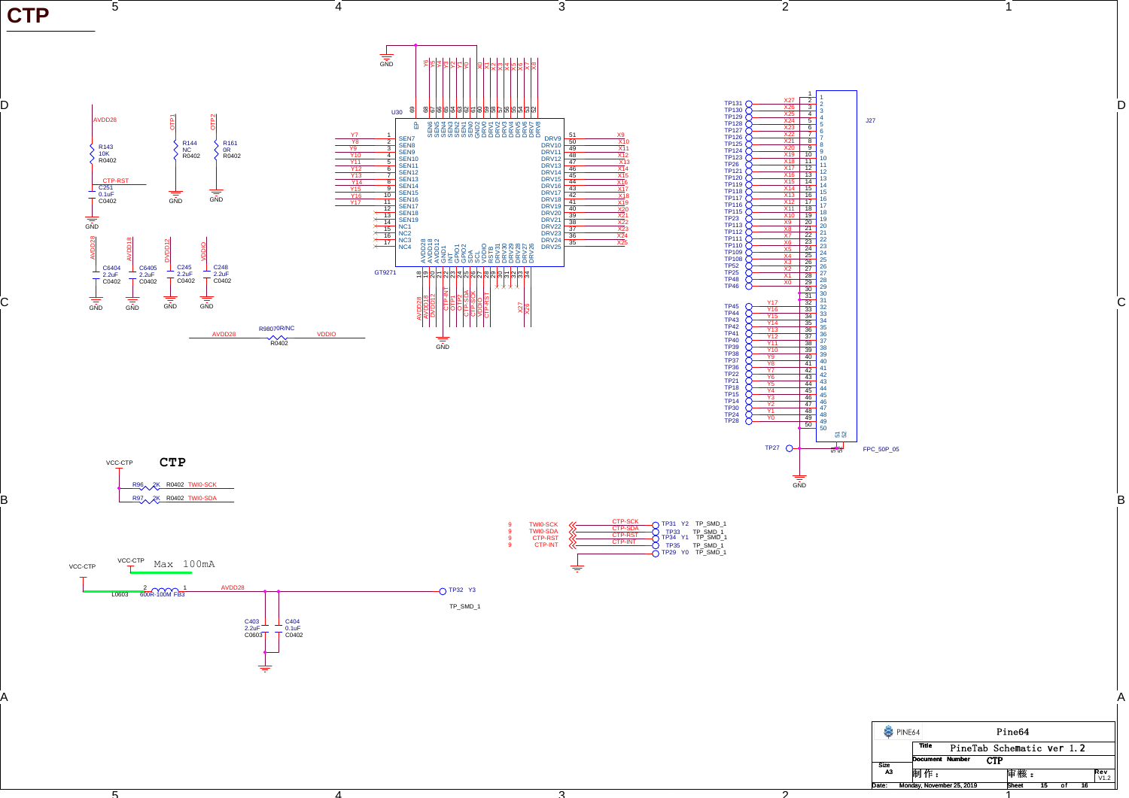

ີລັ

ົດ້

1

ັດ

D

C

B

A

4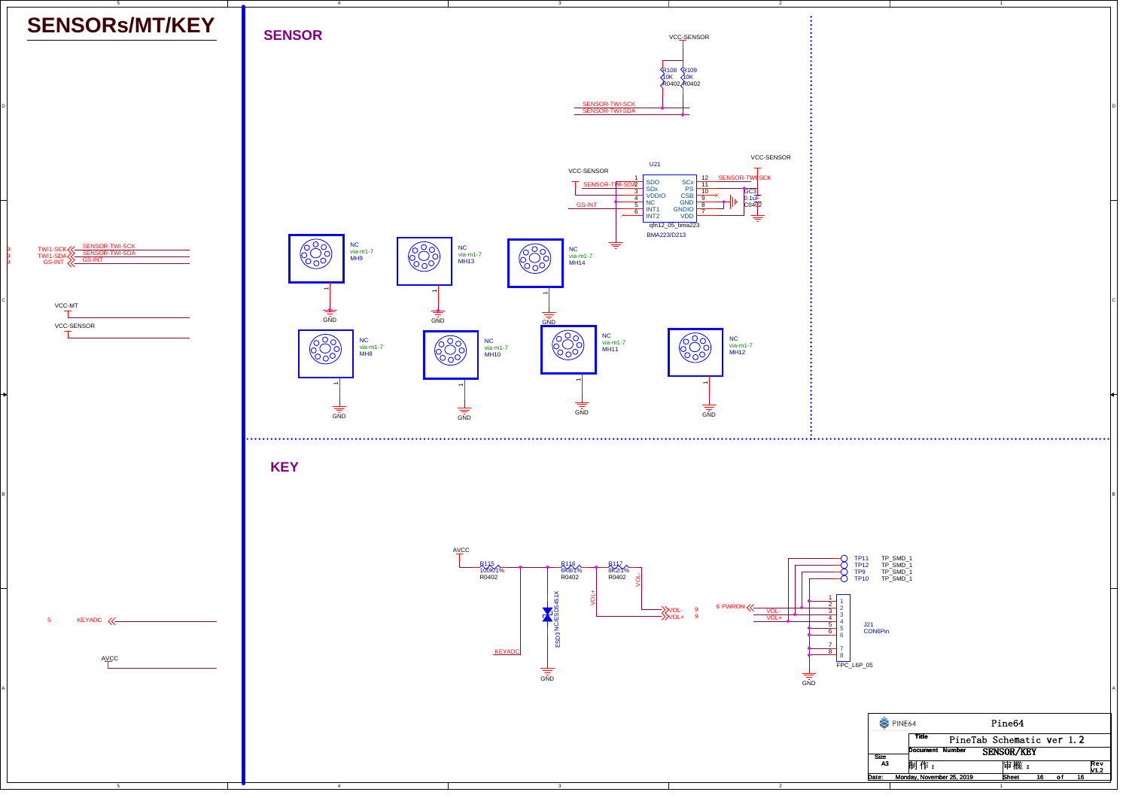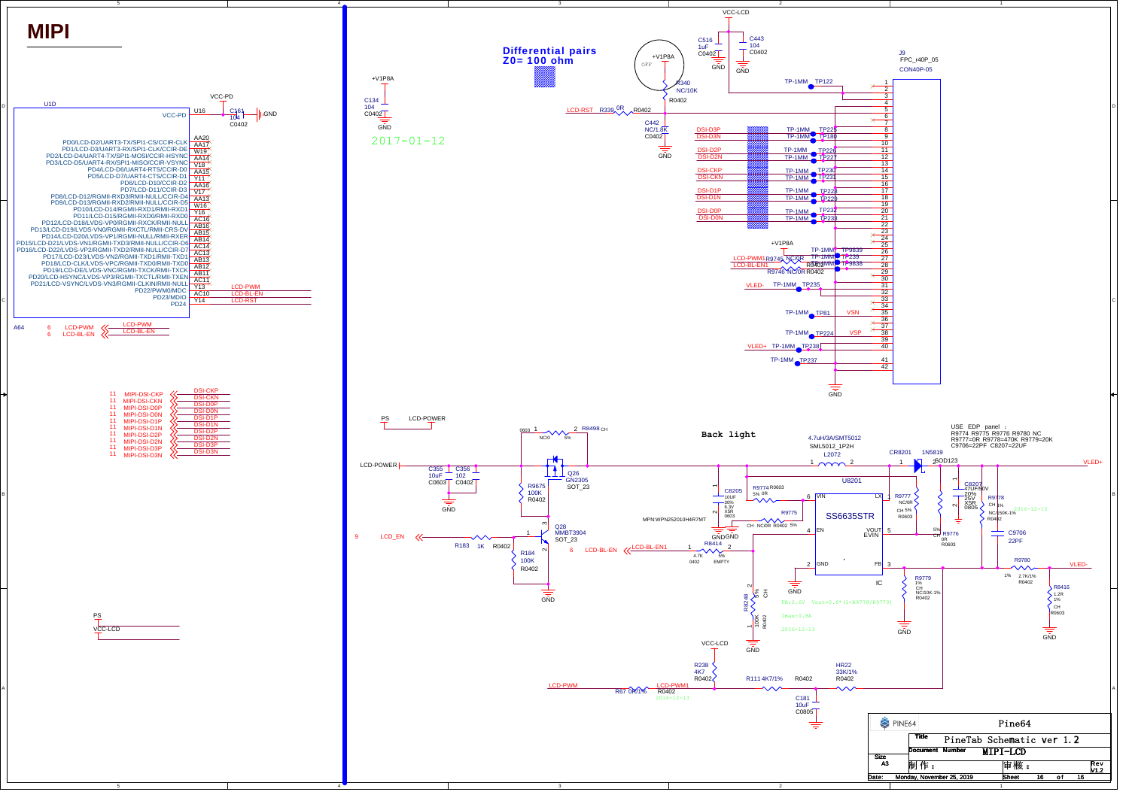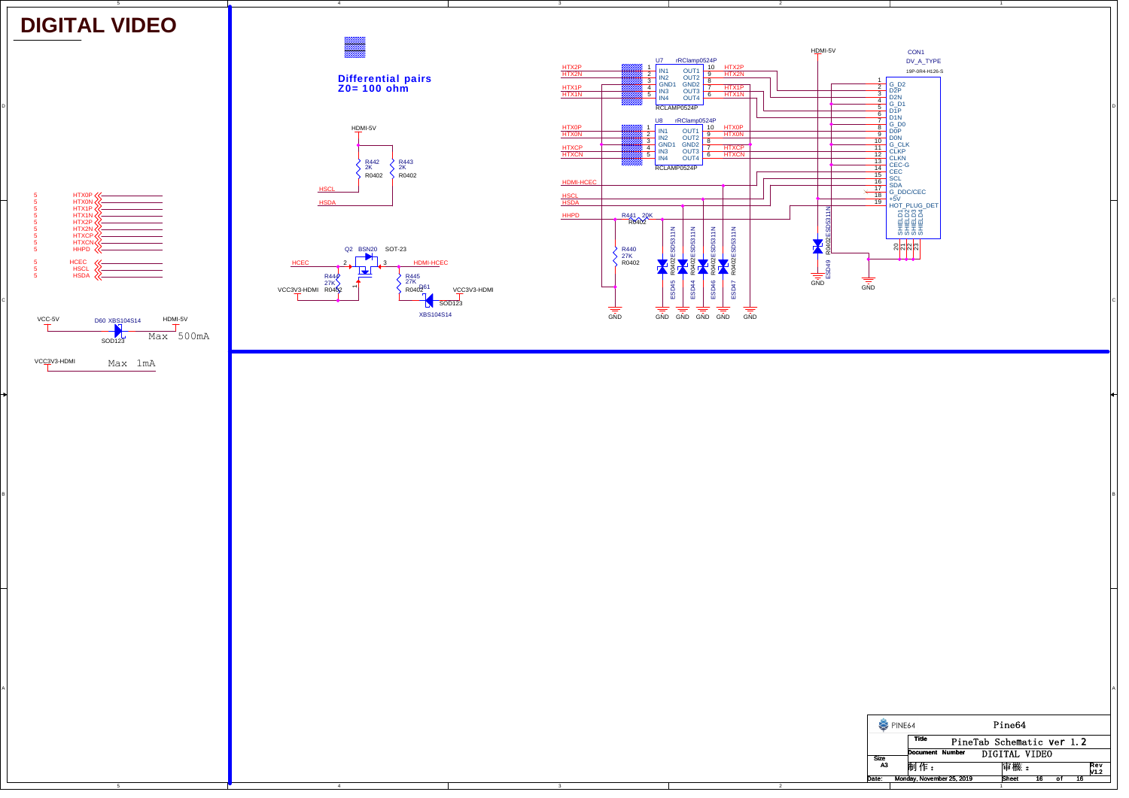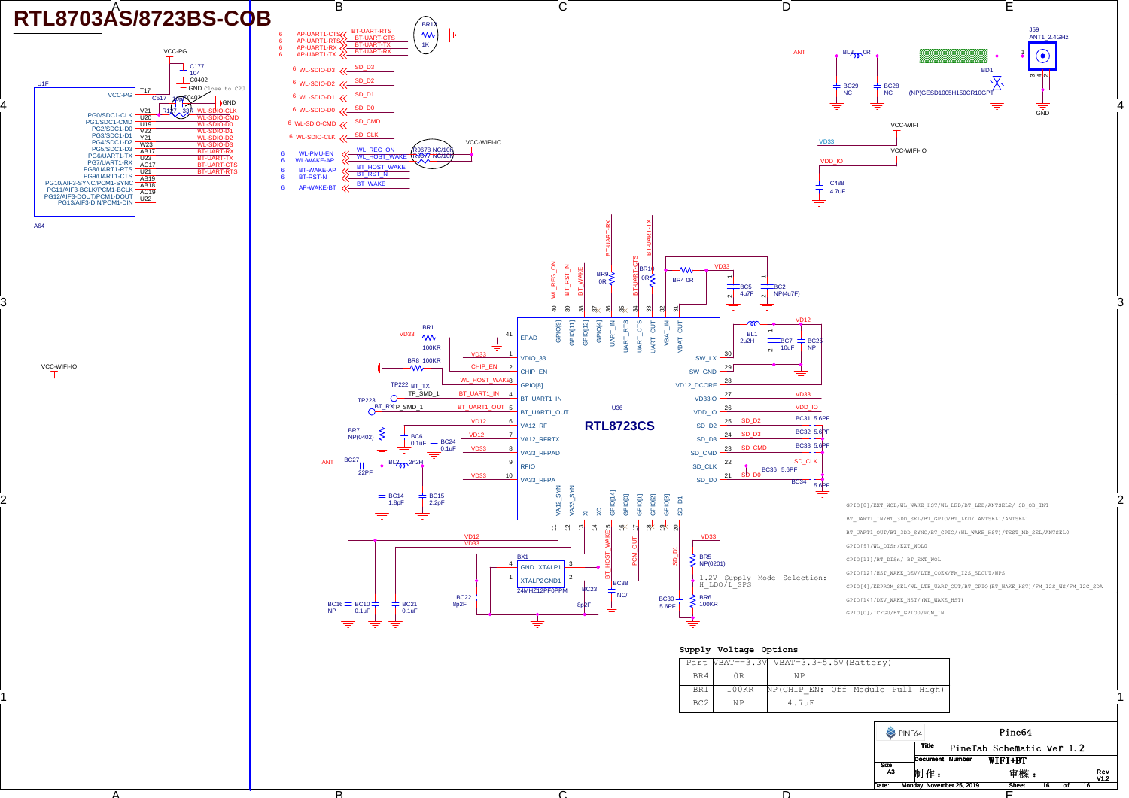

B

A

4

3

2

1

 $\cap$ 

D

E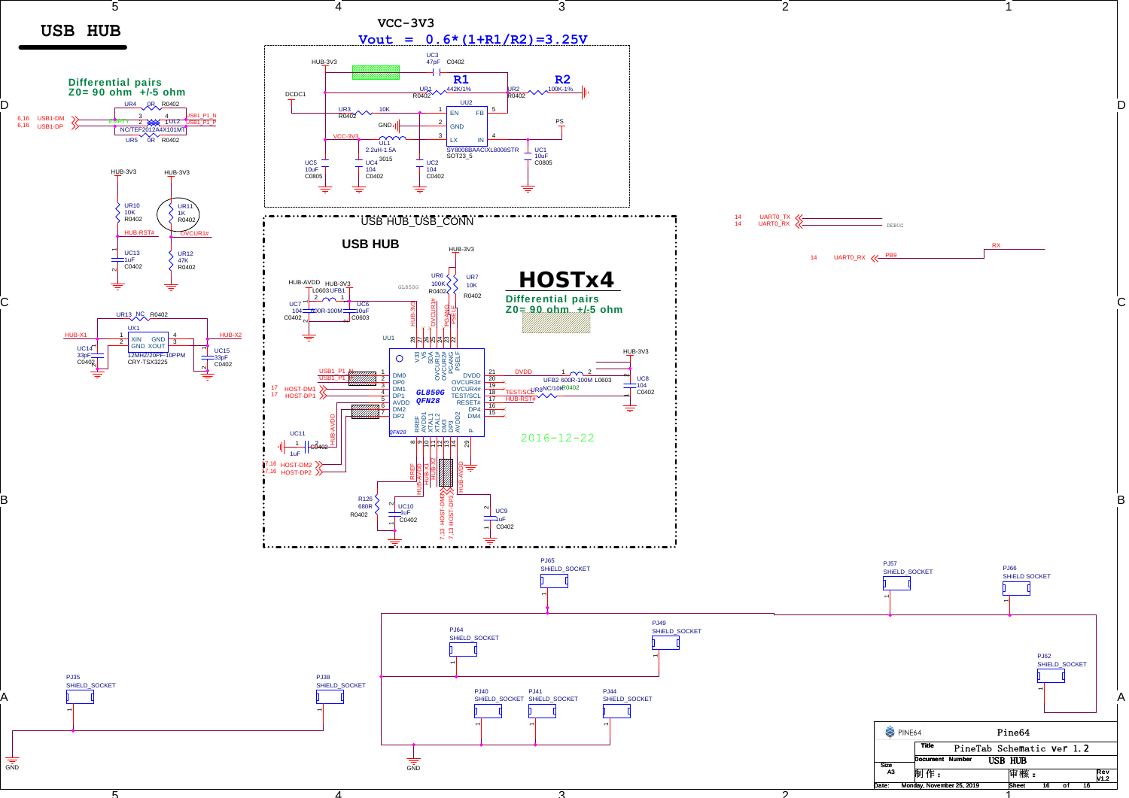